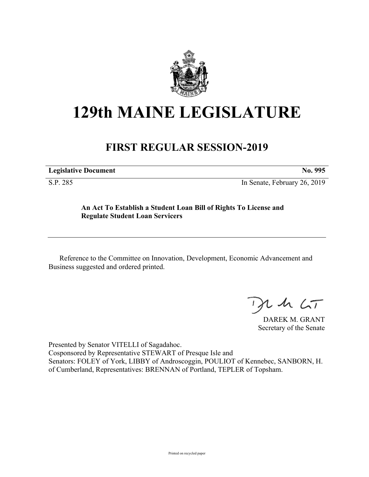

# **129th MAINE LEGISLATURE**

# **FIRST REGULAR SESSION-2019**

| <b>Legislative Document</b> |  |
|-----------------------------|--|
|                             |  |

S.P. 285 In Senate, February 26, 2019

## **An Act To Establish a Student Loan Bill of Rights To License and Regulate Student Loan Servicers**

Reference to the Committee on Innovation, Development, Economic Advancement and Business suggested and ordered printed.

 $125$ 

DAREK M. GRANT Secretary of the Senate

Presented by Senator VITELLI of Sagadahoc. Cosponsored by Representative STEWART of Presque Isle and Senators: FOLEY of York, LIBBY of Androscoggin, POULIOT of Kennebec, SANBORN, H. of Cumberland, Representatives: BRENNAN of Portland, TEPLER of Topsham.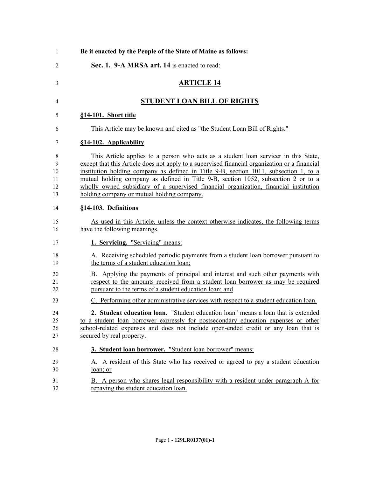| 1                              | Be it enacted by the People of the State of Maine as follows:                                                                                                                                                                                                                                                                                                                                                                                                                                              |
|--------------------------------|------------------------------------------------------------------------------------------------------------------------------------------------------------------------------------------------------------------------------------------------------------------------------------------------------------------------------------------------------------------------------------------------------------------------------------------------------------------------------------------------------------|
| $\overline{2}$                 | Sec. 1. 9-A MRSA art. 14 is enacted to read:                                                                                                                                                                                                                                                                                                                                                                                                                                                               |
| 3                              | <b>ARTICLE 14</b>                                                                                                                                                                                                                                                                                                                                                                                                                                                                                          |
| 4                              | <b>STUDENT LOAN BILL OF RIGHTS</b>                                                                                                                                                                                                                                                                                                                                                                                                                                                                         |
| 5                              | §14-101. Short title                                                                                                                                                                                                                                                                                                                                                                                                                                                                                       |
| 6                              | This Article may be known and cited as "the Student Loan Bill of Rights."                                                                                                                                                                                                                                                                                                                                                                                                                                  |
| 7                              | §14-102. Applicability                                                                                                                                                                                                                                                                                                                                                                                                                                                                                     |
| 8<br>9<br>10<br>11<br>12<br>13 | This Article applies to a person who acts as a student loan servicer in this State,<br>except that this Article does not apply to a supervised financial organization or a financial<br>institution holding company as defined in Title 9-B, section 1011, subsection 1, to a<br>mutual holding company as defined in Title 9-B, section 1052, subsection 2 or to a<br>wholly owned subsidiary of a supervised financial organization, financial institution<br>holding company or mutual holding company. |
| 14                             | §14-103. Definitions                                                                                                                                                                                                                                                                                                                                                                                                                                                                                       |
| 15<br>16                       | As used in this Article, unless the context otherwise indicates, the following terms<br>have the following meanings.                                                                                                                                                                                                                                                                                                                                                                                       |
| 17                             | 1. Servicing. "Servicing" means:                                                                                                                                                                                                                                                                                                                                                                                                                                                                           |
| 18<br>19                       | A. Receiving scheduled periodic payments from a student loan borrower pursuant to<br>the terms of a student education loan;                                                                                                                                                                                                                                                                                                                                                                                |
| 20<br>21<br>22                 | B. Applying the payments of principal and interest and such other payments with<br>respect to the amounts received from a student loan borrower as may be required<br>pursuant to the terms of a student education loan; and                                                                                                                                                                                                                                                                               |
| 23                             | C. Performing other administrative services with respect to a student education loan.                                                                                                                                                                                                                                                                                                                                                                                                                      |
| 24<br>25<br>26<br>27           | 2. Student education loan. "Student education loan" means a loan that is extended<br>to a student loan borrower expressly for postsecondary education expenses or other<br>school-related expenses and does not include open-ended credit or any loan that is<br>secured by real property.                                                                                                                                                                                                                 |
| 28                             | 3. Student loan borrower. "Student loan borrower" means:                                                                                                                                                                                                                                                                                                                                                                                                                                                   |
| 29<br>30                       | A. A resident of this State who has received or agreed to pay a student education<br>loan; or                                                                                                                                                                                                                                                                                                                                                                                                              |
| 31<br>32                       | B. A person who shares legal responsibility with a resident under paragraph A for<br>repaying the student education loan.                                                                                                                                                                                                                                                                                                                                                                                  |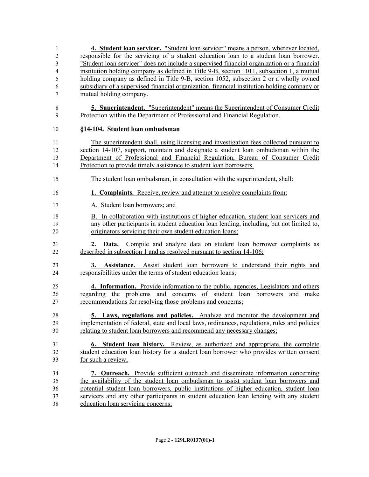**4. Student loan servicer.** "Student loan servicer" means a person, wherever located, responsible for the servicing of a student education loan to a student loan borrower. "Student loan servicer" does not include a supervised financial organization or a financial institution holding company as defined in Title 9-B, section 1011, subsection 1, a mutual holding company as defined in Title 9-B, section 1052, subsection 2 or a wholly owned subsidiary of a supervised financial organization, financial institution holding company or mutual holding company. **5. Superintendent.** "Superintendent" means the Superintendent of Consumer Credit Protection within the Department of Professional and Financial Regulation. **§14-104. Student loan ombudsman** The superintendent shall, using licensing and investigation fees collected pursuant to section 14-107, support, maintain and designate a student loan ombudsman within the Department of Professional and Financial Regulation, Bureau of Consumer Credit Protection to provide timely assistance to student loan borrowers. The student loan ombudsman, in consultation with the superintendent, shall: **1. Complaints.** Receive, review and attempt to resolve complaints from: A. Student loan borrowers; and B. In collaboration with institutions of higher education, student loan servicers and any other participants in student education loan lending, including, but not limited to, originators servicing their own student education loans; **2. Data.** Compile and analyze data on student loan borrower complaints as described in subsection 1 and as resolved pursuant to section 14-106; **3. Assistance.** Assist student loan borrowers to understand their rights and responsibilities under the terms of student education loans; **4. Information.** Provide information to the public, agencies, Legislators and others regarding the problems and concerns of student loan borrowers and make recommendations for resolving those problems and concerns; **5. Laws, regulations and policies.** Analyze and monitor the development and implementation of federal, state and local laws, ordinances, regulations, rules and policies 30 relating to student loan borrowers and recommend any necessary changes; **6. Student loan history.** Review, as authorized and appropriate, the complete student education loan history for a student loan borrower who provides written consent for such a review; **7. Outreach.** Provide sufficient outreach and disseminate information concerning the availability of the student loan ombudsman to assist student loan borrowers and potential student loan borrowers, public institutions of higher education, student loan servicers and any other participants in student education loan lending with any student education loan servicing concerns;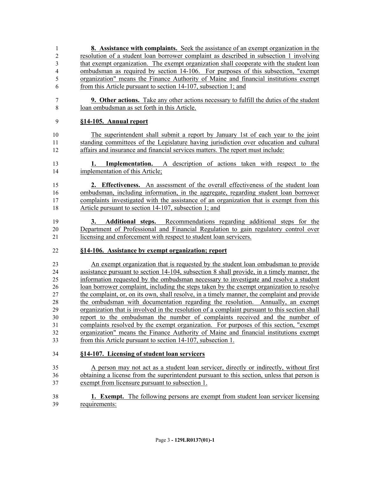- **8. Assistance with complaints.** Seek the assistance of an exempt organization in the resolution of a student loan borrower complaint as described in subsection 1 involving that exempt organization. The exempt organization shall cooperate with the student loan ombudsman as required by section 14-106. For purposes of this subsection, "exempt organization" means the Finance Authority of Maine and financial institutions exempt from this Article pursuant to section 14-107, subsection 1; and **9. Other actions.** Take any other actions necessary to fulfill the duties of the student loan ombudsman as set forth in this Article. **§14-105. Annual report** The superintendent shall submit a report by January 1st of each year to the joint standing committees of the Legislature having jurisdiction over education and cultural affairs and insurance and financial services matters. The report must include: **1. Implementation.** A description of actions taken with respect to the implementation of this Article; **2. Effectiveness.** An assessment of the overall effectiveness of the student loan ombudsman, including information, in the aggregate, regarding student loan borrower complaints investigated with the assistance of an organization that is exempt from this Article pursuant to section 14-107, subsection 1; and **3. Additional steps.** Recommendations regarding additional steps for the Department of Professional and Financial Regulation to gain regulatory control over licensing and enforcement with respect to student loan servicers. **§14-106. Assistance by exempt organization; report** An exempt organization that is requested by the student loan ombudsman to provide assistance pursuant to section 14-104, subsection 8 shall provide, in a timely manner, the information requested by the ombudsman necessary to investigate and resolve a student loan borrower complaint, including the steps taken by the exempt organization to resolve 27 the complaint, or, on its own, shall resolve, in a timely manner, the complaint and provide the ombudsman with documentation regarding the resolution. Annually, an exempt organization that is involved in the resolution of a complaint pursuant to this section shall report to the ombudsman the number of complaints received and the number of complaints resolved by the exempt organization. For purposes of this section, "exempt organization" means the Finance Authority of Maine and financial institutions exempt from this Article pursuant to section 14-107, subsection 1. **§14-107. Licensing of student loan servicers** A person may not act as a student loan servicer, directly or indirectly, without first obtaining a license from the superintendent pursuant to this section, unless that person is exempt from licensure pursuant to subsection 1.
- **1. Exempt.** The following persons are exempt from student loan servicer licensing requirements: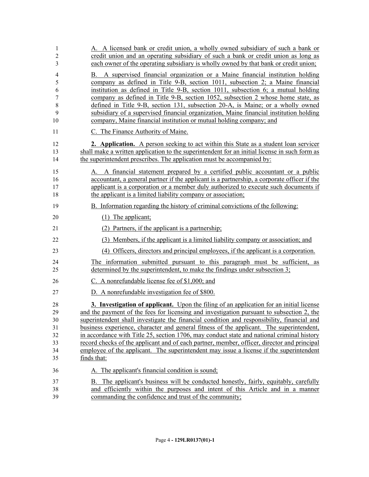| 1<br>2<br>3                                  | A. A licensed bank or credit union, a wholly owned subsidiary of such a bank or<br>credit union and an operating subsidiary of such a bank or credit union as long as<br>each owner of the operating subsidiary is wholly owned by that bank or credit union;                                                                                                                                                                                                                                                                                                                                                                                                                         |
|----------------------------------------------|---------------------------------------------------------------------------------------------------------------------------------------------------------------------------------------------------------------------------------------------------------------------------------------------------------------------------------------------------------------------------------------------------------------------------------------------------------------------------------------------------------------------------------------------------------------------------------------------------------------------------------------------------------------------------------------|
| 4<br>5<br>6<br>7<br>8<br>9<br>10             | B. A supervised financial organization or a Maine financial institution holding<br>company as defined in Title 9-B, section 1011, subsection 2; a Maine financial<br>institution as defined in Title 9-B, section 1011, subsection 6; a mutual holding<br>company as defined in Title 9-B, section 1052, subsection 2 whose home state, as<br>defined in Title 9-B, section 131, subsection 20-A, is Maine; or a wholly owned<br>subsidiary of a supervised financial organization, Maine financial institution holding<br>company, Maine financial institution or mutual holding company; and                                                                                        |
| 11                                           | C. The Finance Authority of Maine.                                                                                                                                                                                                                                                                                                                                                                                                                                                                                                                                                                                                                                                    |
| 12<br>13<br>14                               | 2. Application. A person seeking to act within this State as a student loan servicer<br>shall make a written application to the superintendent for an initial license in such form as<br>the superintendent prescribes. The application must be accompanied by:                                                                                                                                                                                                                                                                                                                                                                                                                       |
| 15<br>16<br>17<br>18                         | A. A financial statement prepared by a certified public accountant or a public<br>accountant, a general partner if the applicant is a partnership, a corporate officer if the<br>applicant is a corporation or a member duly authorized to execute such documents if<br>the applicant is a limited liability company or association;                                                                                                                                                                                                                                                                                                                                                  |
| 19                                           | B. Information regarding the history of criminal convictions of the following:                                                                                                                                                                                                                                                                                                                                                                                                                                                                                                                                                                                                        |
| 20                                           | $(1)$ The applicant;                                                                                                                                                                                                                                                                                                                                                                                                                                                                                                                                                                                                                                                                  |
| 21                                           | Partners, if the applicant is a partnership;<br>(2)                                                                                                                                                                                                                                                                                                                                                                                                                                                                                                                                                                                                                                   |
| 22                                           | (3) Members, if the applicant is a limited liability company or association; and                                                                                                                                                                                                                                                                                                                                                                                                                                                                                                                                                                                                      |
| 23                                           | (4) Officers, directors and principal employees, if the applicant is a corporation.                                                                                                                                                                                                                                                                                                                                                                                                                                                                                                                                                                                                   |
| 24<br>25                                     | The information submitted pursuant to this paragraph must be sufficient, as<br>determined by the superintendent, to make the findings under subsection 3;                                                                                                                                                                                                                                                                                                                                                                                                                                                                                                                             |
| 26                                           | C. A nonrefundable license fee of \$1,000; and                                                                                                                                                                                                                                                                                                                                                                                                                                                                                                                                                                                                                                        |
| 27                                           | D. A nonrefundable investigation fee of \$800.                                                                                                                                                                                                                                                                                                                                                                                                                                                                                                                                                                                                                                        |
| 28<br>29<br>30<br>31<br>32<br>33<br>34<br>35 | 3. Investigation of applicant. Upon the filing of an application for an initial license<br>and the payment of the fees for licensing and investigation pursuant to subsection 2, the<br>superintendent shall investigate the financial condition and responsibility, financial and<br>business experience, character and general fitness of the applicant. The superintendent,<br>in accordance with Title 25, section 1706, may conduct state and national criminal history<br>record checks of the applicant and of each partner, member, officer, director and principal<br>employee of the applicant. The superintendent may issue a license if the superintendent<br>finds that: |
| 36                                           | A. The applicant's financial condition is sound;                                                                                                                                                                                                                                                                                                                                                                                                                                                                                                                                                                                                                                      |
| 37<br>38<br>39                               | B. The applicant's business will be conducted honestly, fairly, equitably, carefully<br>and efficiently within the purposes and intent of this Article and in a manner<br>commanding the confidence and trust of the community;                                                                                                                                                                                                                                                                                                                                                                                                                                                       |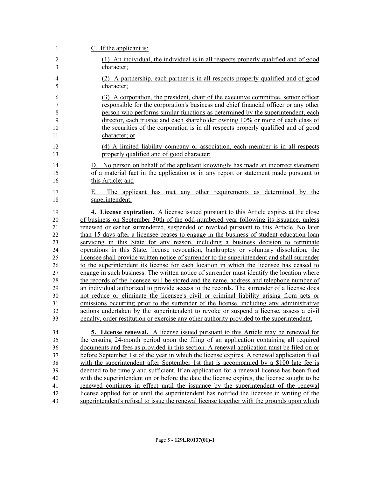| 1              | $C$ . If the applicant is:                                                                   |
|----------------|----------------------------------------------------------------------------------------------|
| $\overline{2}$ | (1) An individual, the individual is in all respects properly qualified and of good          |
| 3              | character;                                                                                   |
| $\overline{4}$ | (2) A partnership, each partner is in all respects properly qualified and of good            |
| 5              | character;                                                                                   |
| 6              | (3) A corporation, the president, chair of the executive committee, senior officer           |
| 7              | responsible for the corporation's business and chief financial officer or any other          |
| $\,8\,$        | person who performs similar functions as determined by the superintendent, each              |
| 9              | director, each trustee and each shareholder owning 10% or more of each class of              |
| 10             | the securities of the corporation is in all respects properly qualified and of good          |
| 11             | character; or                                                                                |
| 12             | (4) A limited liability company or association, each member is in all respects               |
| 13             | properly qualified and of good character;                                                    |
| 14             | D. No person on behalf of the applicant knowingly has made an incorrect statement            |
| 15             | of a material fact in the application or in any report or statement made pursuant to         |
| 16             | this Article; and                                                                            |
| 17<br>18       | The applicant has met any other requirements as determined by the<br>Е.<br>superintendent.   |
| 19             | 4. License expiration. A license issued pursuant to this Article expires at the close        |
| 20             | of business on September 30th of the odd-numbered year following its issuance, unless        |
| 21             | renewed or earlier surrendered, suspended or revoked pursuant to this Article. No later      |
| 22             | than 15 days after a licensee ceases to engage in the business of student education loan     |
| 23             | servicing in this State for any reason, including a business decision to terminate           |
| 24             | operations in this State, license revocation, bankruptcy or voluntary dissolution, the       |
| 25             | licensee shall provide written notice of surrender to the superintendent and shall surrender |
| 26             | to the superintendent its license for each location in which the licensee has ceased to      |
| 27             | engage in such business. The written notice of surrender must identify the location where    |
| 28             | the records of the licensee will be stored and the name, address and telephone number of     |
| 29             | an individual authorized to provide access to the records. The surrender of a license does   |
| 30             | not reduce or eliminate the licensee's civil or criminal liability arising from acts or      |
| 31             | omissions occurring prior to the surrender of the license, including any administrative      |
| 32             | actions undertaken by the superintendent to revoke or suspend a license, assess a civil      |
| 33             | penalty, order restitution or exercise any other authority provided to the superintendent.   |
| 34             | <b>5. License renewal.</b> A license issued pursuant to this Article may be renewed for      |
| 35             | the ensuing 24-month period upon the filing of an application containing all required        |
| 36             | documents and fees as provided in this section. A renewal application must be filed on or    |
| 37             | before September 1st of the year in which the license expires. A renewal application filed   |
| 38             | with the superintendent after September 1st that is accompanied by a \$100 late fee is       |
| 39             | deemed to be timely and sufficient. If an application for a renewal license has been filed   |
| 40             | with the superintendent on or before the date the license expires, the license sought to be  |
| 41             | renewed continues in effect until the issuance by the superintendent of the renewal          |
| 42             | license applied for or until the superintendent has notified the licensee in writing of the  |
| 43             | superintendent's refusal to issue the renewal license together with the grounds upon which   |
|                |                                                                                              |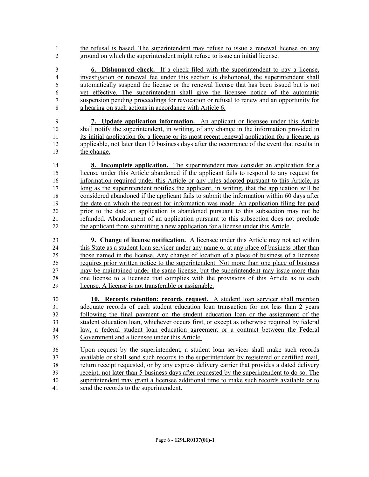the refusal is based. The superintendent may refuse to issue a renewal license on any ground on which the superintendent might refuse to issue an initial license.

 **6. Dishonored check.** If a check filed with the superintendent to pay a license, investigation or renewal fee under this section is dishonored, the superintendent shall automatically suspend the license or the renewal license that has been issued but is not yet effective. The superintendent shall give the licensee notice of the automatic suspension pending proceedings for revocation or refusal to renew and an opportunity for a hearing on such actions in accordance with Article 6.

 **7. Update application information.** An applicant or licensee under this Article shall notify the superintendent, in writing, of any change in the information provided in its initial application for a license or its most recent renewal application for a license, as applicable, not later than 10 business days after the occurrence of the event that results in the change.

 **8. Incomplete application.** The superintendent may consider an application for a license under this Article abandoned if the applicant fails to respond to any request for information required under this Article or any rules adopted pursuant to this Article, as long as the superintendent notifies the applicant, in writing, that the application will be considered abandoned if the applicant fails to submit the information within 60 days after the date on which the request for information was made. An application filing fee paid prior to the date an application is abandoned pursuant to this subsection may not be refunded. Abandonment of an application pursuant to this subsection does not preclude the applicant from submitting a new application for a license under this Article.

 **9. Change of license notification.** A licensee under this Article may not act within this State as a student loan servicer under any name or at any place of business other than those named in the license. Any change of location of a place of business of a licensee requires prior written notice to the superintendent. Not more than one place of business may be maintained under the same license, but the superintendent may issue more than one license to a licensee that complies with the provisions of this Article as to each license. A license is not transferable or assignable.

 **10. Records retention; records request.** A student loan servicer shall maintain adequate records of each student education loan transaction for not less than 2 years following the final payment on the student education loan or the assignment of the student education loan, whichever occurs first, or except as otherwise required by federal law, a federal student loan education agreement or a contract between the Federal Government and a licensee under this Article.

 Upon request by the superintendent, a student loan servicer shall make such records available or shall send such records to the superintendent by registered or certified mail, return receipt requested, or by any express delivery carrier that provides a dated delivery receipt, not later than 5 business days after requested by the superintendent to do so. The superintendent may grant a licensee additional time to make such records available or to send the records to the superintendent.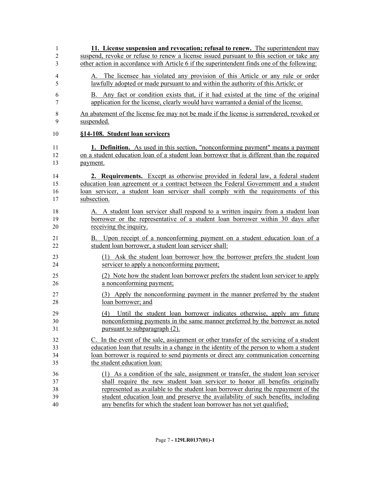| 1              | 11. License suspension and revocation; refusal to renew. The superintendent may             |
|----------------|---------------------------------------------------------------------------------------------|
| 2              | suspend, revoke or refuse to renew a license issued pursuant to this section or take any    |
| 3              | other action in accordance with Article 6 if the superintendent finds one of the following: |
| $\overline{4}$ | A. The licensee has violated any provision of this Article or any rule or order             |
| 5              | lawfully adopted or made pursuant to and within the authority of this Article; or           |
| 6              | B. Any fact or condition exists that, if it had existed at the time of the original         |
| 7              | application for the license, clearly would have warranted a denial of the license.          |
| 8              | An abatement of the license fee may not be made if the license is surrendered, revoked or   |
| 9              | suspended.                                                                                  |
| 10             | §14-108. Student loan servicers                                                             |
| 11             | <b>1. Definition.</b> As used in this section, "nonconforming payment" means a payment      |
| 12             | on a student education loan of a student loan borrower that is different than the required  |
| 13             | payment.                                                                                    |
| 14             | 2. Requirements. Except as otherwise provided in federal law, a federal student             |
| 15             | education loan agreement or a contract between the Federal Government and a student         |
| 16             | loan servicer, a student loan servicer shall comply with the requirements of this           |
| 17             | subsection.                                                                                 |
| 18             | A. A student loan servicer shall respond to a written inquiry from a student loan           |
| 19             | borrower or the representative of a student loan borrower within 30 days after              |
| 20             | receiving the inquiry.                                                                      |
| 21             | B. Upon receipt of a nonconforming payment on a student education loan of a                 |
| 22             | student loan borrower, a student loan servicer shall:                                       |
| 23             | (1) Ask the student loan borrower how the borrower prefers the student loan                 |
| 24             | servicer to apply a nonconforming payment;                                                  |
| 25             | (2) Note how the student loan borrower prefers the student loan servicer to apply           |
| 26             | a nonconforming payment;                                                                    |
| 27             | (3) Apply the nonconforming payment in the manner preferred by the student                  |
| 28             | loan borrower; and                                                                          |
| 29             | (4) Until the student loan borrower indicates otherwise, apply any future                   |
| 30             | nonconforming payments in the same manner preferred by the borrower as noted                |
| 31             | pursuant to subparagraph (2).                                                               |
| 32             | C. In the event of the sale, assignment or other transfer of the servicing of a student     |
| 33             | education loan that results in a change in the identity of the person to whom a student     |
| 34             | loan borrower is required to send payments or direct any communication concerning           |
| 35             | the student education loan:                                                                 |
| 36             | (1) As a condition of the sale, assignment or transfer, the student loan servicer           |
| 37             | shall require the new student loan servicer to honor all benefits originally                |
| 38             | represented as available to the student loan borrower during the repayment of the           |
| 39             | student education loan and preserve the availability of such benefits, including            |
| 40             | any benefits for which the student loan borrower has not yet qualified;                     |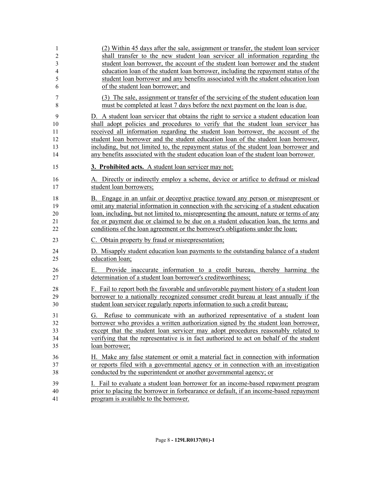| 1<br>$\overline{2}$ | (2) Within 45 days after the sale, assignment or transfer, the student loan servicer<br>shall transfer to the new student loan servicer all information regarding the       |
|---------------------|-----------------------------------------------------------------------------------------------------------------------------------------------------------------------------|
| 3<br>4              | student loan borrower, the account of the student loan borrower and the student<br>education loan of the student loan borrower, including the repayment status of the       |
| 5<br>6              | student loan borrower and any benefits associated with the student education loan<br>of the student loan borrower; and                                                      |
|                     |                                                                                                                                                                             |
| 7<br>8              | (3) The sale, assignment or transfer of the servicing of the student education loan<br>must be completed at least 7 days before the next payment on the loan is due.        |
| 9                   | D. A student loan servicer that obtains the right to service a student education loan                                                                                       |
| 10                  | shall adopt policies and procedures to verify that the student loan servicer has<br>received all information regarding the student loan borrower, the account of the        |
| 11<br>12            | student loan borrower and the student education loan of the student loan borrower,                                                                                          |
| 13                  | including, but not limited to, the repayment status of the student loan borrower and                                                                                        |
| 14                  | any benefits associated with the student education loan of the student loan borrower.                                                                                       |
| 15                  | 3. Prohibited acts. A student loan servicer may not:                                                                                                                        |
| 16<br>17            | A. Directly or indirectly employ a scheme, device or artifice to defraud or mislead<br>student loan borrowers;                                                              |
| 18                  | B. Engage in an unfair or deceptive practice toward any person or misrepresent or                                                                                           |
| 19                  | omit any material information in connection with the servicing of a student education                                                                                       |
| 20                  | loan, including, but not limited to, misrepresenting the amount, nature or terms of any                                                                                     |
| 21<br>22            | fee or payment due or claimed to be due on a student education loan, the terms and<br>conditions of the loan agreement or the borrower's obligations under the loan;        |
| 23                  | C. Obtain property by fraud or misrepresentation;                                                                                                                           |
| 24<br>25            | D. Misapply student education loan payments to the outstanding balance of a student<br>education loan;                                                                      |
| 26<br>27            | Provide inaccurate information to a credit bureau,<br>thereby harming the<br>Е.<br>determination of a student loan borrower's creditworthiness;                             |
| 28                  | F. Fail to report both the favorable and unfavorable payment history of a student loan                                                                                      |
| 29                  | borrower to a nationally recognized consumer credit bureau at least annually if the                                                                                         |
| 30                  | student loan servicer regularly reports information to such a credit bureau;                                                                                                |
| 31                  | G. Refuse to communicate with an authorized representative of a student loan                                                                                                |
| 32                  | borrower who provides a written authorization signed by the student loan borrower,                                                                                          |
| 33<br>34            | except that the student loan servicer may adopt procedures reasonably related to<br>verifying that the representative is in fact authorized to act on behalf of the student |
| 35                  | loan borrower;                                                                                                                                                              |
| 36                  | H. Make any false statement or omit a material fact in connection with information                                                                                          |
| 37                  | or reports filed with a governmental agency or in connection with an investigation                                                                                          |
| 38                  | conducted by the superintendent or another governmental agency; or                                                                                                          |
| 39                  | I. Fail to evaluate a student loan borrower for an income-based repayment program                                                                                           |
| 40                  | prior to placing the borrower in forbearance or default, if an income-based repayment                                                                                       |
| 41                  | program is available to the borrower.                                                                                                                                       |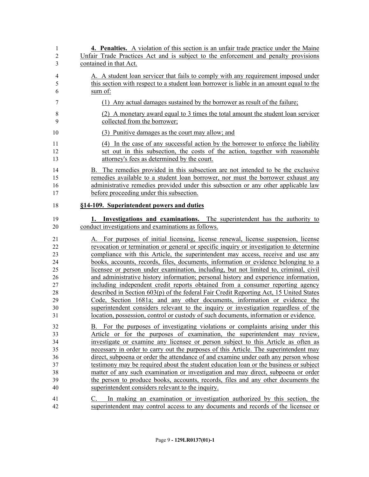| 1              | <b>4. Penalties.</b> A violation of this section is an unfair trade practice under the Maine |
|----------------|----------------------------------------------------------------------------------------------|
| $\overline{c}$ | Unfair Trade Practices Act and is subject to the enforcement and penalty provisions          |
| 3              | contained in that Act.                                                                       |
| 4              | A. A student loan servicer that fails to comply with any requirement imposed under           |
| 5              | this section with respect to a student loan borrower is liable in an amount equal to the     |
| 6              | sum of:                                                                                      |
| 7              | (1) Any actual damages sustained by the borrower as result of the failure;                   |
| 8              | (2) A monetary award equal to 3 times the total amount the student loan servicer             |
| 9              | collected from the borrower;                                                                 |
| 10             | (3) Punitive damages as the court may allow; and                                             |
| 11             | (4) In the case of any successful action by the borrower to enforce the liability            |
| 12             | set out in this subsection, the costs of the action, together with reasonable                |
| 13             | attorney's fees as determined by the court.                                                  |
| 14             | B. The remedies provided in this subsection are not intended to be the exclusive             |
| 15             | remedies available to a student loan borrower, nor must the borrower exhaust any             |
| 16             | administrative remedies provided under this subsection or any other applicable law           |
| 17             | before proceeding under this subsection.                                                     |
| 18             | §14-109. Superintendent powers and duties                                                    |
| 19             | 1. Investigations and examinations. The superintendent has the authority to                  |
| 20             | conduct investigations and examinations as follows.                                          |
| 21             | A. For purposes of initial licensing, license renewal, license suspension, license           |
| 22             | revocation or termination or general or specific inquiry or investigation to determine       |
| 23             | compliance with this Article, the superintendent may access, receive and use any             |
| 24             | books, accounts, records, files, documents, information or evidence belonging to a           |
| 25             | licensee or person under examination, including, but not limited to, criminal, civil         |
| 26             | and administrative history information; personal history and experience information,         |
| 27             | including independent credit reports obtained from a consumer reporting agency               |
| 28             | described in Section 603(p) of the federal Fair Credit Reporting Act, 15 United States       |
| 29             | Code, Section 1681a; and any other documents, information or evidence the                    |
| 30             | superintendent considers relevant to the inquiry or investigation regardless of the          |
| 31             | <u>location, possession, control or custody of such documents, information or evidence.</u>  |
| 32             | B. For the purposes of investigating violations or complaints arising under this             |
| 33             | Article or for the purposes of examination, the superintendent may review,                   |
| 34             | investigate or examine any licensee or person subject to this Article as often as            |
| 35             | necessary in order to carry out the purposes of this Article. The superintendent may         |
| 36             | direct, subpoena or order the attendance of and examine under oath any person whose          |
| 37             | testimony may be required about the student education loan or the business or subject        |
| 38             | matter of any such examination or investigation and may direct, subpoena or order            |
| 39             | the person to produce books, accounts, records, files and any other documents the            |
| 40             | superintendent considers relevant to the inquiry.                                            |
| 41             | In making an examination or investigation authorized by this section, the                    |
| 42             | superintendent may control access to any documents and records of the licensee or            |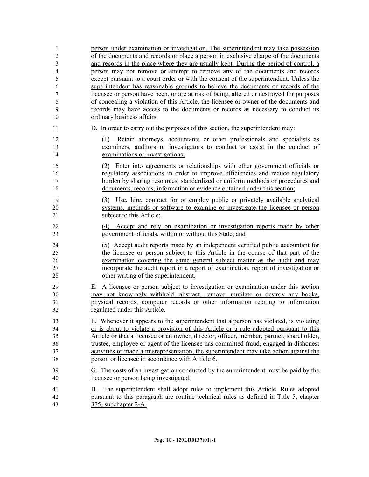| 1                    | person under examination or investigation. The superintendent may take possession                                                                                                                                                                                                         |
|----------------------|-------------------------------------------------------------------------------------------------------------------------------------------------------------------------------------------------------------------------------------------------------------------------------------------|
| $\overline{2}$       | of the documents and records or place a person in exclusive charge of the documents                                                                                                                                                                                                       |
| 3                    | and records in the place where they are usually kept. During the period of control, a                                                                                                                                                                                                     |
| $\overline{4}$       | person may not remove or attempt to remove any of the documents and records                                                                                                                                                                                                               |
| 5                    | except pursuant to a court order or with the consent of the superintendent. Unless the                                                                                                                                                                                                    |
| 6                    | superintendent has reasonable grounds to believe the documents or records of the                                                                                                                                                                                                          |
| $\boldsymbol{7}$     | licensee or person have been, or are at risk of being, altered or destroyed for purposes                                                                                                                                                                                                  |
| $\,$ 8 $\,$          | of concealing a violation of this Article, the licensee or owner of the documents and                                                                                                                                                                                                     |
| 9                    | records may have access to the documents or records as necessary to conduct its                                                                                                                                                                                                           |
| 10                   | ordinary business affairs.                                                                                                                                                                                                                                                                |
| 11                   | D. In order to carry out the purposes of this section, the superintendent may:                                                                                                                                                                                                            |
| 12<br>13<br>14       | Retain attorneys, accountants or other professionals and specialists as<br>(1)<br>examiners, auditors or investigators to conduct or assist in the conduct of<br>examinations or investigations;                                                                                          |
| 15                   | (2) Enter into agreements or relationships with other government officials or                                                                                                                                                                                                             |
| 16                   | regulatory associations in order to improve efficiencies and reduce regulatory                                                                                                                                                                                                            |
| 17                   | burden by sharing resources, standardized or uniform methods or procedures and                                                                                                                                                                                                            |
| 18                   | documents, records, information or evidence obtained under this section;                                                                                                                                                                                                                  |
| 19                   | (3) Use, hire, contract for or employ public or privately available analytical                                                                                                                                                                                                            |
| 20                   | systems, methods or software to examine or investigate the licensee or person                                                                                                                                                                                                             |
| 21                   | subject to this Article;                                                                                                                                                                                                                                                                  |
| 22                   | (4) Accept and rely on examination or investigation reports made by other                                                                                                                                                                                                                 |
| 23                   | government officials, within or without this State; and                                                                                                                                                                                                                                   |
| 24                   | (5) Accept audit reports made by an independent certified public accountant for                                                                                                                                                                                                           |
| 25                   | the licensee or person subject to this Article in the course of that part of the                                                                                                                                                                                                          |
| 26                   | examination covering the same general subject matter as the audit and may                                                                                                                                                                                                                 |
| 27                   | incorporate the audit report in a report of examination, report of investigation or                                                                                                                                                                                                       |
| 28                   | other writing of the superintendent.                                                                                                                                                                                                                                                      |
| 29<br>30<br>31<br>32 | A licensee or person subject to investigation or examination under this section<br>Е.<br>may not knowingly withhold, abstract, remove, mutilate or destroy any books,<br>physical records, computer records or other information relating to information<br>regulated under this Article. |
| 33                   | F. Whenever it appears to the superintendent that a person has violated, is violating                                                                                                                                                                                                     |
| 34                   | or is about to violate a provision of this Article or a rule adopted pursuant to this                                                                                                                                                                                                     |
| 35                   | Article or that a licensee or an owner, director, officer, member, partner, shareholder,                                                                                                                                                                                                  |
| 36                   | trustee, employee or agent of the licensee has committed fraud, engaged in dishonest                                                                                                                                                                                                      |
| 37                   | activities or made a misrepresentation, the superintendent may take action against the                                                                                                                                                                                                    |
| 38                   | person or licensee in accordance with Article 6.                                                                                                                                                                                                                                          |
| 39                   | G. The costs of an investigation conducted by the superintendent must be paid by the                                                                                                                                                                                                      |
| 40                   | licensee or person being investigated.                                                                                                                                                                                                                                                    |
| 41                   | H. The superintendent shall adopt rules to implement this Article. Rules adopted                                                                                                                                                                                                          |
| 42                   | pursuant to this paragraph are routine technical rules as defined in Title 5, chapter                                                                                                                                                                                                     |
| 43                   | 375, subchapter 2-A.                                                                                                                                                                                                                                                                      |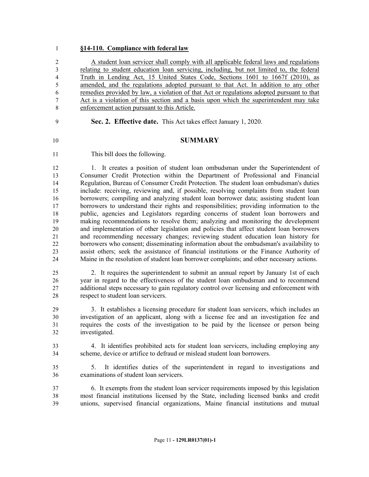### **§14-110. Compliance with federal law**

 A student loan servicer shall comply with all applicable federal laws and regulations relating to student education loan servicing, including, but not limited to, the federal Truth in Lending Act, 15 United States Code, Sections 1601 to 1667f (2010), as amended, and the regulations adopted pursuant to that Act. In addition to any other remedies provided by law, a violation of that Act or regulations adopted pursuant to that Act is a violation of this section and a basis upon which the superintendent may take enforcement action pursuant to this Article.

**Sec. 2. Effective date.** This Act takes effect January 1, 2020.

#### **SUMMARY**

This bill does the following.

 1. It creates a position of student loan ombudsman under the Superintendent of Consumer Credit Protection within the Department of Professional and Financial Regulation, Bureau of Consumer Credit Protection. The student loan ombudsman's duties include: receiving, reviewing and, if possible, resolving complaints from student loan borrowers; compiling and analyzing student loan borrower data; assisting student loan borrowers to understand their rights and responsibilities; providing information to the public, agencies and Legislators regarding concerns of student loan borrowers and making recommendations to resolve them; analyzing and monitoring the development and implementation of other legislation and policies that affect student loan borrowers and recommending necessary changes; reviewing student education loan history for borrowers who consent; disseminating information about the ombudsman's availability to assist others; seek the assistance of financial institutions or the Finance Authority of Maine in the resolution of student loan borrower complaints; and other necessary actions.

 2. It requires the superintendent to submit an annual report by January 1st of each year in regard to the effectiveness of the student loan ombudsman and to recommend additional steps necessary to gain regulatory control over licensing and enforcement with respect to student loan servicers.

 3. It establishes a licensing procedure for student loan servicers, which includes an investigation of an applicant, along with a license fee and an investigation fee and requires the costs of the investigation to be paid by the licensee or person being investigated.

 4. It identifies prohibited acts for student loan servicers, including employing any scheme, device or artifice to defraud or mislead student loan borrowers.

 5. It identifies duties of the superintendent in regard to investigations and examinations of student loan servicers.

 6. It exempts from the student loan servicer requirements imposed by this legislation most financial institutions licensed by the State, including licensed banks and credit unions, supervised financial organizations, Maine financial institutions and mutual